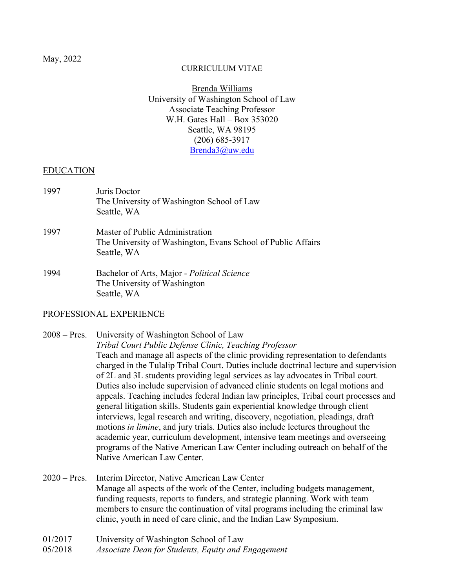#### CURRICULUM VITAE

Brenda Williams University of Washington School of Law Associate Teaching Professor W.H. Gates Hall – Box 353020 Seattle, WA 98195 (206) 685-3917 [Brenda3@uw.edu](mailto:Brenda3@uw.edu)

#### EDUCATION

| 1997 | Juris Doctor<br>The University of Washington School of Law<br>Seattle, WA                                      |
|------|----------------------------------------------------------------------------------------------------------------|
| 1997 | Master of Public Administration<br>The University of Washington, Evans School of Public Affairs<br>Seattle, WA |
| 1994 | Bachelor of Arts, Major - Political Science                                                                    |

The University of Washington Seattle, WA

### PROFESSIONAL EXPERIENCE

## 2008 – Pres. University of Washington School of Law *Tribal Court Public Defense Clinic, Teaching Professor* Teach and manage all aspects of the clinic providing representation to defendants charged in the Tulalip Tribal Court. Duties include doctrinal lecture and supervision of 2L and 3L students providing legal services as lay advocates in Tribal court. Duties also include supervision of advanced clinic students on legal motions and appeals. Teaching includes federal Indian law principles, Tribal court processes and general litigation skills. Students gain experiential knowledge through client interviews, legal research and writing, discovery, negotiation, pleadings, draft motions *in limine*, and jury trials. Duties also include lectures throughout the academic year, curriculum development, intensive team meetings and overseeing programs of the Native American Law Center including outreach on behalf of the Native American Law Center.

- 2020 Pres. Interim Director, Native American Law Center Manage all aspects of the work of the Center, including budgets management, funding requests, reports to funders, and strategic planning. Work with team members to ensure the continuation of vital programs including the criminal law clinic, youth in need of care clinic, and the Indian Law Symposium.
- 01/2017 University of Washington School of Law
- 05/2018 *Associate Dean for Students, Equity and Engagement*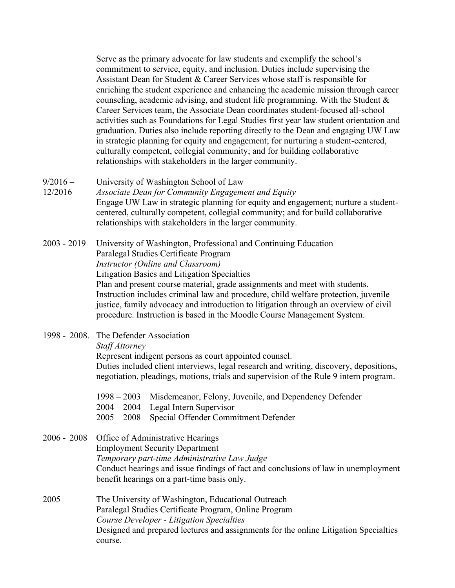Serve as the primary advocate for law students and exemplify the school's commitment to service, equity, and inclusion. Duties include supervising the Assistant Dean for Student & Career Services whose staff is responsible for enriching the student experience and enhancing the academic mission through career counseling, academic advising, and student life programming. With the Student & Career Services team, the Associate Dean coordinates student-focused all-school activities such as Foundations for Legal Studies first year law student orientation and graduation. Duties also include reporting directly to the Dean and engaging UW Law in strategic planning for equity and engagement; for nurturing a student-centered, culturally competent, collegial community; and for building collaborative relationships with stakeholders in the larger community.

- 9/2016 University of Washington School of Law
- 12/2016 *Associate Dean for Community Engagement and Equity* Engage UW Law in strategic planning for equity and engagement; nurture a studentcentered, culturally competent, collegial community; and for build collaborative relationships with stakeholders in the larger community.

2003 - 2019 University of Washington, Professional and Continuing Education Paralegal Studies Certificate Program *Instructor (Online and Classroom)* Litigation Basics and Litigation Specialties Plan and present course material, grade assignments and meet with students. Instruction includes criminal law and procedure, child welfare protection, juvenile justice, family advocacy and introduction to litigation through an overview of civil procedure. Instruction is based in the Moodle Course Management System.

1998 - 2008. The Defender Association

*Staff Attorney*

Represent indigent persons as court appointed counsel.

Duties included client interviews, legal research and writing, discovery, depositions, negotiation, pleadings, motions, trials and supervision of the Rule 9 intern program.

- 1998 2003 Misdemeanor, Felony, Juvenile, and Dependency Defender
- 2004 2004 Legal Intern Supervisor
- 2005 2008 Special Offender Commitment Defender

2006 - 2008 Office of Administrative Hearings Employment Security Department *Temporary part-time Administrative Law Judge* Conduct hearings and issue findings of fact and conclusions of law in unemployment benefit hearings on a part-time basis only.

2005 The University of Washington, Educational Outreach Paralegal Studies Certificate Program, Online Program *Course Developer - Litigation Specialties* Designed and prepared lectures and assignments for the online Litigation Specialties course.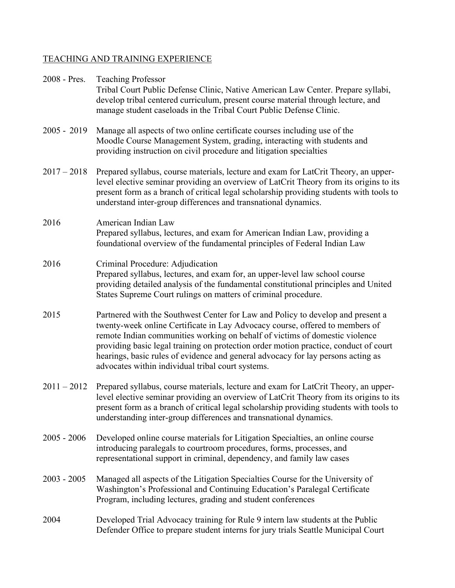# TEACHING AND TRAINING EXPERIENCE

| 2008 - Pres.  | <b>Teaching Professor</b><br>Tribal Court Public Defense Clinic, Native American Law Center. Prepare syllabi,<br>develop tribal centered curriculum, present course material through lecture, and<br>manage student caseloads in the Tribal Court Public Defense Clinic.                                                                                                                                                                                                        |
|---------------|---------------------------------------------------------------------------------------------------------------------------------------------------------------------------------------------------------------------------------------------------------------------------------------------------------------------------------------------------------------------------------------------------------------------------------------------------------------------------------|
| $2005 - 2019$ | Manage all aspects of two online certificate courses including use of the<br>Moodle Course Management System, grading, interacting with students and<br>providing instruction on civil procedure and litigation specialties                                                                                                                                                                                                                                                     |
| $2017 - 2018$ | Prepared syllabus, course materials, lecture and exam for LatCrit Theory, an upper-<br>level elective seminar providing an overview of LatCrit Theory from its origins to its<br>present form as a branch of critical legal scholarship providing students with tools to<br>understand inter-group differences and transnational dynamics.                                                                                                                                      |
| 2016          | American Indian Law<br>Prepared syllabus, lectures, and exam for American Indian Law, providing a<br>foundational overview of the fundamental principles of Federal Indian Law                                                                                                                                                                                                                                                                                                  |
| 2016          | Criminal Procedure: Adjudication<br>Prepared syllabus, lectures, and exam for, an upper-level law school course<br>providing detailed analysis of the fundamental constitutional principles and United<br>States Supreme Court rulings on matters of criminal procedure.                                                                                                                                                                                                        |
| 2015          | Partnered with the Southwest Center for Law and Policy to develop and present a<br>twenty-week online Certificate in Lay Advocacy course, offered to members of<br>remote Indian communities working on behalf of victims of domestic violence<br>providing basic legal training on protection order motion practice, conduct of court<br>hearings, basic rules of evidence and general advocacy for lay persons acting as<br>advocates within individual tribal court systems. |
| $2011 - 2012$ | Prepared syllabus, course materials, lecture and exam for LatCrit Theory, an upper-<br>level elective seminar providing an overview of LatCrit Theory from its origins to its<br>present form as a branch of critical legal scholarship providing students with tools to<br>understanding inter-group differences and transnational dynamics.                                                                                                                                   |
| $2005 - 2006$ | Developed online course materials for Litigation Specialties, an online course<br>introducing paralegals to courtroom procedures, forms, processes, and<br>representational support in criminal, dependency, and family law cases                                                                                                                                                                                                                                               |
| $2003 - 2005$ | Managed all aspects of the Litigation Specialties Course for the University of<br>Washington's Professional and Continuing Education's Paralegal Certificate<br>Program, including lectures, grading and student conferences                                                                                                                                                                                                                                                    |
| 2004          | Developed Trial Advocacy training for Rule 9 intern law students at the Public<br>Defender Office to prepare student interns for jury trials Seattle Municipal Court                                                                                                                                                                                                                                                                                                            |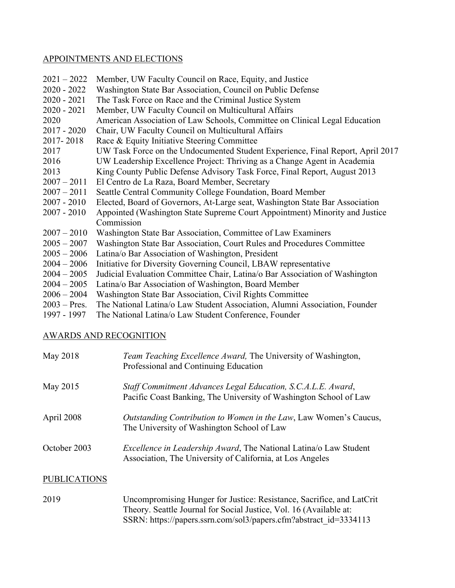### APPOINTMENTS AND ELECTIONS

| $2021 - 2022$ | Member, UW Faculty Council on Race, Equity, and Justice                        |
|---------------|--------------------------------------------------------------------------------|
| $2020 - 2022$ | Washington State Bar Association, Council on Public Defense                    |
| $2020 - 2021$ | The Task Force on Race and the Criminal Justice System                         |
| $2020 - 2021$ | Member, UW Faculty Council on Multicultural Affairs                            |
| 2020          | American Association of Law Schools, Committee on Clinical Legal Education     |
| $2017 - 2020$ | Chair, UW Faculty Council on Multicultural Affairs                             |
| 2017-2018     | Race & Equity Initiative Steering Committee                                    |
| 2017          | UW Task Force on the Undocumented Student Experience, Final Report, April 2017 |
| 2016          | UW Leadership Excellence Project: Thriving as a Change Agent in Academia       |
| 2013          | King County Public Defense Advisory Task Force, Final Report, August 2013      |
| $2007 - 2011$ | El Centro de La Raza, Board Member, Secretary                                  |
| $2007 - 2011$ | Seattle Central Community College Foundation, Board Member                     |
| $2007 - 2010$ | Elected, Board of Governors, At-Large seat, Washington State Bar Association   |
| $2007 - 2010$ | Appointed (Washington State Supreme Court Appointment) Minority and Justice    |
|               | Commission                                                                     |
| $2007 - 2010$ | Washington State Bar Association, Committee of Law Examiners                   |
| $2005 - 2007$ | Washington State Bar Association, Court Rules and Procedures Committee         |
| $2005 - 2006$ | Latina/o Bar Association of Washington, President                              |
| $2004 - 2006$ | Initiative for Diversity Governing Council, LBAW representative                |
| $2004 - 2005$ | Judicial Evaluation Committee Chair, Latina/o Bar Association of Washington    |
| $2004 - 2005$ | Latina/o Bar Association of Washington, Board Member                           |

- 2006 2004 Washington State Bar Association, Civil Rights Committee
- 2003 Pres. The National Latina/o Law Student Association, Alumni Association, Founder<br>1997 1997 The National Latina/o Law Student Conference, Founder
- The National Latina/o Law Student Conference, Founder

## AWARDS AND RECOGNITION

| May 2018            | Team Teaching Excellence Award, The University of Washington,<br>Professional and Continuing Education                                 |
|---------------------|----------------------------------------------------------------------------------------------------------------------------------------|
| May 2015            | Staff Commitment Advances Legal Education, S.C.A.L.E. Award,<br>Pacific Coast Banking, The University of Washington School of Law      |
| April 2008          | Outstanding Contribution to Women in the Law, Law Women's Caucus,<br>The University of Washington School of Law                        |
| October 2003        | <i>Excellence in Leadership Award</i> , The National Latina/o Law Student<br>Association, The University of California, at Los Angeles |
| <b>PUBLICATIONS</b> |                                                                                                                                        |

2019 Uncompromising Hunger for Justice: Resistance, Sacrifice, and LatCrit Theory. Seattle Journal for Social Justice, Vol. 16 (Available at: SSRN: [https://papers.ssrn.com/sol3/papers.cfm?abstract\\_id=3334113](https://papers.ssrn.com/sol3/papers.cfm?abstract_id=3334113)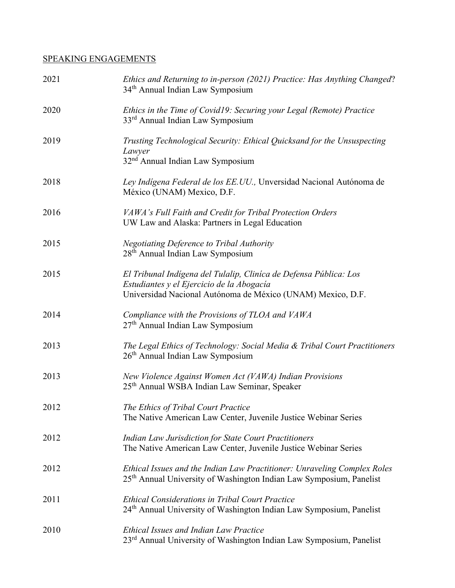# SPEAKING ENGAGEMENTS

| 2021 | Ethics and Returning to in-person (2021) Practice: Has Anything Changed?<br>34 <sup>th</sup> Annual Indian Law Symposium                                                      |
|------|-------------------------------------------------------------------------------------------------------------------------------------------------------------------------------|
| 2020 | Ethics in the Time of Covid19: Securing your Legal (Remote) Practice<br>33 <sup>rd</sup> Annual Indian Law Symposium                                                          |
| 2019 | Trusting Technological Security: Ethical Quicksand for the Unsuspecting<br>Lawyer<br>32 <sup>nd</sup> Annual Indian Law Symposium                                             |
| 2018 | Ley Indígena Federal de los EE.UU., Unversidad Nacional Autónoma de<br>México (UNAM) Mexico, D.F.                                                                             |
| 2016 | VAWA's Full Faith and Credit for Tribal Protection Orders<br>UW Law and Alaska: Partners in Legal Education                                                                   |
| 2015 | <b>Negotiating Deference to Tribal Authority</b><br>28 <sup>th</sup> Annual Indian Law Symposium                                                                              |
| 2015 | El Tribunal Indígena del Tulalip, Cliníca de Defensa Pública: Los<br>Estudiantes y el Ejercicio de la Abogacía<br>Universidad Nacional Autónoma de México (UNAM) Mexico, D.F. |
| 2014 | Compliance with the Provisions of TLOA and VAWA<br>27 <sup>th</sup> Annual Indian Law Symposium                                                                               |
| 2013 | The Legal Ethics of Technology: Social Media & Tribal Court Practitioners<br>26 <sup>th</sup> Annual Indian Law Symposium                                                     |
| 2013 | New Violence Against Women Act (VAWA) Indian Provisions<br>25 <sup>th</sup> Annual WSBA Indian Law Seminar, Speaker                                                           |
| 2012 | The Ethics of Tribal Court Practice<br>The Native American Law Center, Juvenile Justice Webinar Series                                                                        |
| 2012 | <b>Indian Law Jurisdiction for State Court Practitioners</b><br>The Native American Law Center, Juvenile Justice Webinar Series                                               |
| 2012 | Ethical Issues and the Indian Law Practitioner: Unraveling Complex Roles<br>25 <sup>th</sup> Annual University of Washington Indian Law Symposium, Panelist                   |
| 2011 | <b>Ethical Considerations in Tribal Court Practice</b><br>24 <sup>th</sup> Annual University of Washington Indian Law Symposium, Panelist                                     |
| 2010 | <b>Ethical Issues and Indian Law Practice</b><br>23 <sup>rd</sup> Annual University of Washington Indian Law Symposium, Panelist                                              |